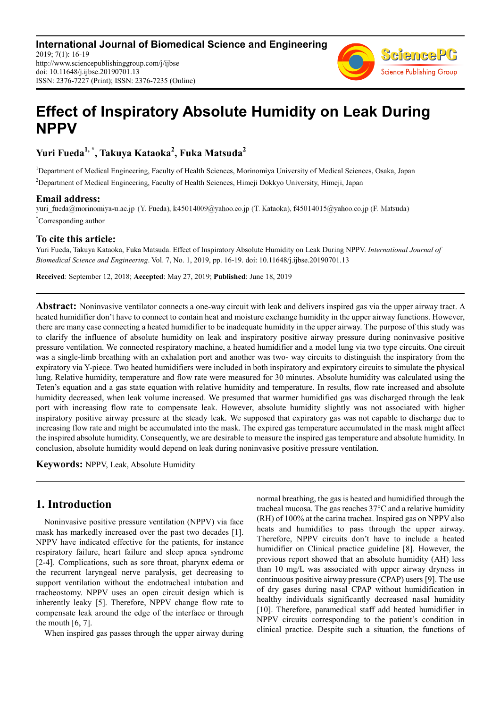**International Journal of Biomedical Science and Engineering** 2019; 7(1): 16-19 http://www.sciencepublishinggroup.com/j/ijbse doi: 10.11648/j.ijbse.20190701.13 ISSN: 2376-7227 (Print); ISSN: 2376-7235 (Online)



# **Effect of Inspiratory Absolute Humidity on Leak During NPPV**

**Yuri Fueda1, \*, Takuya Kataoka<sup>2</sup> , Fuka Matsuda<sup>2</sup>**

<sup>1</sup>Department of Medical Engineering, Faculty of Health Sciences, Morinomiya University of Medical Sciences, Osaka, Japan <sup>2</sup>Department of Medical Engineering, Faculty of Health Sciences, Himeji Dokkyo University, Himeji, Japan

Email address:<br>
yuri\_fueda@morinomiya-u.ac.jp (Y. Fueda), k45014009@yahoo.co.jp (T. Kataoka), f45014015@yahoo.co.jp (F. Matsuda) \*Corresponding author

### **To cite this article:**

Yuri Fueda, Takuya Kataoka, Fuka Matsuda. Effect of Inspiratory Absolute Humidity on Leak During NPPV. *International Journal of Biomedical Science and Engineering*. Vol. 7, No. 1, 2019, pp. 16-19. doi: 10.11648/j.ijbse.20190701.13

**Received**: September 12, 2018; **Accepted**: May 27, 2019; **Published**: June 18, 2019

**Abstract:** Noninvasive ventilator connects a one-way circuit with leak and delivers inspired gas via the upper airway tract. A heated humidifier don't have to connect to contain heat and moisture exchange humidity in the upper airway functions. However, there are many case connecting a heated humidifier to be inadequate humidity in the upper airway. The purpose of this study was to clarify the influence of absolute humidity on leak and inspiratory positive airway pressure during noninvasive positive pressure ventilation. We connected respiratory machine, a heated humidifier and a model lung via two type circuits. One circuit was a single-limb breathing with an exhalation port and another was two- way circuits to distinguish the inspiratory from the expiratory via Y-piece. Two heated humidifiers were included in both inspiratory and expiratory circuits to simulate the physical lung. Relative humidity, temperature and flow rate were measured for 30 minutes. Absolute humidity was calculated using the Teten's equation and a gas state equation with relative humidity and temperature. In results, flow rate increased and absolute humidity decreased, when leak volume increased. We presumed that warmer humidified gas was discharged through the leak port with increasing flow rate to compensate leak. However, absolute humidity slightly was not associated with higher inspiratory positive airway pressure at the steady leak. We supposed that expiratory gas was not capable to discharge due to increasing flow rate and might be accumulated into the mask. The expired gas temperature accumulated in the mask might affect the inspired absolute humidity. Consequently, we are desirable to measure the inspired gas temperature and absolute humidity. In conclusion, absolute humidity would depend on leak during noninvasive positive pressure ventilation.

**Keywords:** NPPV, Leak, Absolute Humidity

## **1. Introduction**

Noninvasive positive pressure ventilation (NPPV) via face mask has markedly increased over the past two decades [1]. NPPV have indicated effective for the patients, for instance respiratory failure, heart failure and sleep apnea syndrome [2-4]. Complications, such as sore throat, pharynx edema or the recurrent laryngeal nerve paralysis, get decreasing to support ventilation without the endotracheal intubation and tracheostomy. NPPV uses an open circuit design which is inherently leaky [5]. Therefore, NPPV change flow rate to compensate leak around the edge of the interface or through the mouth [6, 7].

When inspired gas passes through the upper airway during

normal breathing, the gas is heated and humidified through the tracheal mucosa. The gas reaches 37°C and a relative humidity (RH) of 100% at the carina trachea. Inspired gas on NPPV also heats and humidifies to pass through the upper airway. Therefore, NPPV circuits don't have to include a heated humidifier on Clinical practice guideline [8]. However, the previous report showed that an absolute humidity (AH) less than 10 mg/L was associated with upper airway dryness in continuous positive airway pressure (CPAP) users [9]. The use of dry gases during nasal CPAP without humidification in healthy individuals significantly decreased nasal humidity [10]. Therefore, paramedical staff add heated humidifier in NPPV circuits corresponding to the patient's condition in clinical practice. Despite such a situation, the functions of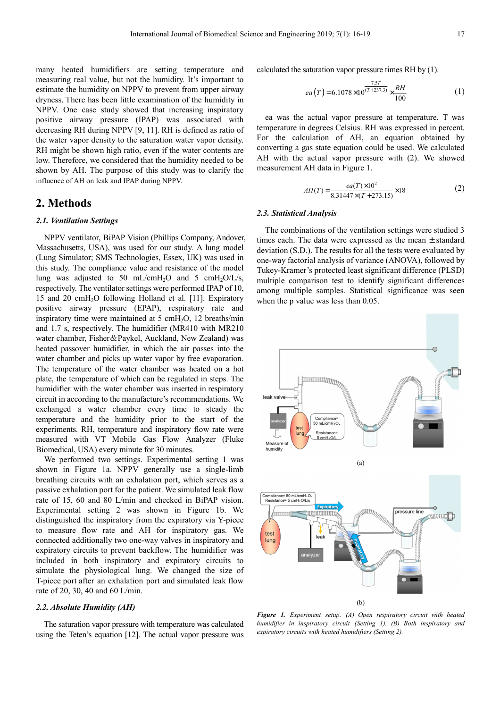many heated humidifiers are setting temperature and measuring real value, but not the humidity. It's important to estimate the humidity on NPPV to prevent from upper airway dryness. There has been little examination of the humidity in NPPV. One case study showed that increasing inspiratory positive airway pressure (IPAP) was associated with decreasing RH during NPPV [9, 11]. RH is defined as ratio of the water vapor density to the saturation water vapor density. RH might be shown high ratio, even if the water contents are low. Therefore, we considered that the humidity needed to be shown by AH. The purpose of this study was to clarify the influence of AH on leak and IPAP during NPPV.

### **2. Methods**

### *2.1. Ventilation Settings*

NPPV ventilator, BiPAP Vision (Phillips Company, Andover, Massachusetts, USA), was used for our study. A lung model (Lung Simulator; SMS Technologies, Essex, UK) was used in this study. The compliance value and resistance of the model lung was adjusted to 50 mL/cmH<sub>2</sub>O and 5 cmH<sub>2</sub>O/L/s, respectively. The ventilator settings were performed IPAP of 10, 15 and 20 cmH<sub>2</sub>O following Holland et al. [11]. Expiratory positive airway pressure (EPAP), respiratory rate and inspiratory time were maintained at  $5 \text{ cm}$ H<sub>2</sub>O, 12 breaths/min and 1.7 s, respectively. The humidifier (MR410 with MR210 water chamber, Fisher&Paykel, Auckland, New Zealand) was heated passover humidifier, in which the air passes into the water chamber and picks up water vapor by free evaporation. The temperature of the water chamber was heated on a hot plate, the temperature of which can be regulated in steps. The humidifier with the water chamber was inserted in respiratory circuit in according to the manufacture's recommendations. We exchanged a water chamber every time to steady the temperature and the humidity prior to the start of the experiments. RH, temperature and inspiratory flow rate were measured with VT Mobile Gas Flow Analyzer (Fluke Biomedical, USA) every minute for 30 minutes.

We performed two settings. Experimental setting 1 was shown in Figure 1a. NPPV generally use a single-limb breathing circuits with an exhalation port, which serves as a passive exhalation port for the patient. We simulated leak flow rate of 15, 60 and 80 L/min and checked in BiPAP vision. Experimental setting 2 was shown in Figure 1b. We distinguished the inspiratory from the expiratory via Y-piece to measure flow rate and AH for inspiratory gas. We connected additionally two one-way valves in inspiratory and expiratory circuits to prevent backflow. The humidifier was included in both inspiratory and expiratory circuits to simulate the physiological lung. We changed the size of T-piece port after an exhalation port and simulated leak flow rate of 20, 30, 40 and 60 L/min.

#### *2.2. Absolute Humidity (AH)*

The saturation vapor pressure with temperature was calculated using the Teten's equation [12]. The actual vapor pressure was

calculated the saturation vapor pressure times RH by (1).

$$
ea(T) = 6.1078 \times 10^{\frac{7.5T}{(T+237.3)}} \times \frac{RH}{100}
$$
 (1)

ea was the actual vapor pressure at temperature. T was temperature in degrees Celsius. RH was expressed in percent. For the calculation of AH, an equation obtained by converting a gas state equation could be used. We calculated AH with the actual vapor pressure with (2). We showed measurement AH data in Figure 1.

$$
AH(T) = \frac{ea(T) \times 10^2}{8.31447 \times (T + 273.15)} \times 18
$$
 (2)

#### *2.3. Statistical Analysis*

The combinations of the ventilation settings were studied 3 times each. The data were expressed as the mean  $\pm$  standard deviation (S.D.). The results for all the tests were evaluated by one-way factorial analysis of variance (ANOVA), followed by Tukey-Kramer's protected least significant difference (PLSD) multiple comparison test to identify significant differences among multiple samples. Statistical significance was seen when the p value was less than 0.05.



*Figure 1. Experiment setup. (A) Open respiratory circuit with heated humidifier in inspiratory circuit (Setting 1). (B) Both inspiratory and expiratory circuits with heated humidifiers (Setting 2).*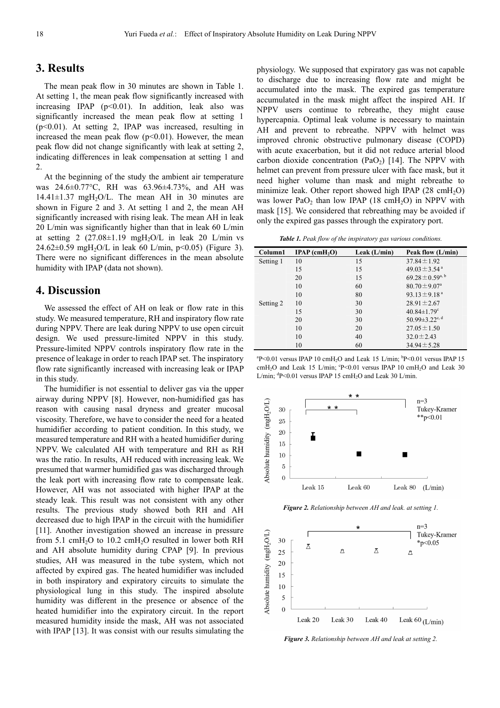### **3. Results**

The mean peak flow in 30 minutes are shown in Table 1. At setting 1, the mean peak flow significantly increased with increasing IPAP  $(p<0.01)$ . In addition, leak also was significantly increased the mean peak flow at setting 1 (p<0.01). At setting 2, IPAP was increased, resulting in increased the mean peak flow  $(p<0.01)$ . However, the mean peak flow did not change significantly with leak at setting 2, indicating differences in leak compensation at setting 1 and 2.

At the beginning of the study the ambient air temperature was 24.6±0.77°C, RH was 63.96±4.73%, and AH was  $14.41 \pm 1.37$  mgH<sub>2</sub>O/L. The mean AH in 30 minutes are shown in Figure 2 and 3. At setting 1 and 2, the mean AH significantly increased with rising leak. The mean AH in leak 20 L/min was significantly higher than that in leak 60 L/min at setting  $2(27.08\pm1.19 \text{ mgH}_2\text{O/L})$  in leak  $20 \text{ L/min vs}$ 24.62 $\pm$ 0.59 mgH<sub>2</sub>O/L in leak 60 L/min, p<0.05) (Figure 3). There were no significant differences in the mean absolute humidity with IPAP (data not shown).

### **4. Discussion**

We assessed the effect of AH on leak or flow rate in this study. We measured temperature, RH and inspiratory flow rate during NPPV. There are leak during NPPV to use open circuit design. We used pressure-limited NPPV in this study. Pressure-limited NPPV controls inspiratory flow rate in the presence of leakage in order to reach IPAP set. The inspiratory flow rate significantly increased with increasing leak or IPAP in this study.

The humidifier is not essential to deliver gas via the upper airway during NPPV [8]. However, non-humidified gas has reason with causing nasal dryness and greater mucosal viscosity. Therefore, we have to consider the need for a heated humidifier according to patient condition. In this study, we measured temperature and RH with a heated humidifier during NPPV. We calculated AH with temperature and RH as RH was the ratio. In results, AH reduced with increasing leak. We presumed that warmer humidified gas was discharged through the leak port with increasing flow rate to compensate leak. However, AH was not associated with higher IPAP at the steady leak. This result was not consistent with any other results. The previous study showed both RH and AH decreased due to high IPAP in the circuit with the humidifier [11]. Another investigation showed an increase in pressure from 5.1 cmH<sub>2</sub>O to 10.2 cmH<sub>2</sub>O resulted in lower both RH and AH absolute humidity during CPAP [9]. In previous studies, AH was measured in the tube system, which not affected by expired gas. The heated humidifier was included in both inspiratory and expiratory circuits to simulate the physiological lung in this study. The inspired absolute humidity was different in the presence or absence of the heated humidifier into the expiratory circuit. In the report measured humidity inside the mask, AH was not associated with IPAP [13]. It was consist with our results simulating the physiology. We supposed that expiratory gas was not capable to discharge due to increasing flow rate and might be accumulated into the mask. The expired gas temperature accumulated in the mask might affect the inspired AH. If NPPV users continue to rebreathe, they might cause hypercapnia. Optimal leak volume is necessary to maintain AH and prevent to rebreathe. NPPV with helmet was improved chronic obstructive pulmonary disease (COPD) with acute exacerbation, but it did not reduce arterial blood carbon dioxide concentration (PaO<sub>2</sub>) [14]. The NPPV with helmet can prevent from pressure ulcer with face mask, but it need higher volume than mask and might rebreathe to minimize leak. Other report showed high IPAP  $(28 \text{ cmH}_2\text{O})$ was lower PaO<sub>2</sub> than low IPAP (18 cmH<sub>2</sub>O) in NPPV with mask [15]. We considered that rebreathing may be avoided if only the expired gas passes through the expiratory port.

*Table 1. Peak flow of the inspiratory gas various conditions.* 

| Column1   | $IPAP$ (cmH <sub>2</sub> O) | Leak $(L/min)$ | Peak flow (L/min)                |
|-----------|-----------------------------|----------------|----------------------------------|
| Setting 1 | 10                          | 15             | $37.84 \pm 1.92$                 |
|           | 15                          | 15             | $49.03 \pm 3.54$ <sup>a</sup>    |
|           | 20                          | 15             | $69.28 \pm 0.59^{a, b}$          |
|           | 10                          | 60             | $80.70 \pm 9.07^{\circ}$         |
|           | 10                          | 80             | $93.13 \pm 9.18$ <sup>a</sup>    |
| Setting 2 | 10                          | 30             | $28.91 \pm 2.67$                 |
|           | 15                          | 30             | $40.84 \pm 1.79$ <sup>c</sup>    |
|           | 20                          | 30             | 50.99 $\pm$ 3.22 <sup>c, d</sup> |
|           | 10                          | 20             | $27.05 \pm 1.50$                 |
|           | 10                          | 40             | $32.0 \pm 2.43$                  |
|           | 10                          | 60             | $34.94 \pm 5.28$                 |

 $\rm{^{a}P}$  <0.01 versus IPAP 10 cmH<sub>2</sub>O and Leak 15 L/min;  $\rm{^{b}P}$  <0.01 versus IPAP 15  $cmH<sub>2</sub>O$  and Leak 15 L/min;  $P<0.01$  versus IPAP 10  $cmH<sub>2</sub>O$  and Leak 30 L/min;  ${}^{d}P<0.01$  versus IPAP 15 cmH<sub>2</sub>O and Leak 30 L/min.



*Figure 2. Relationship between AH and leak. at setting 1.* 



*Figure 3. Relationship between AH and leak at setting 2.*